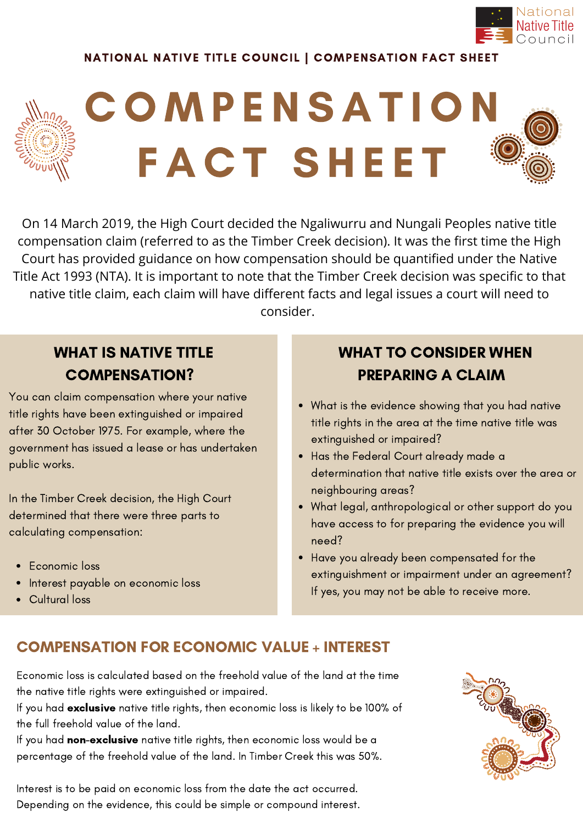

#### NATIONAL NATIVE TITLE COUNCIL | COMPENSATION FACT SHEET

# C O M P E N S A T I O N FACT SHEET

On 14 March 2019, the High Court decided the Ngaliwurru and Nungali Peoples native title compensation claim (referred to as the Timber Creek decision). It was the first time the High Court has provided guidance on how compensation should be quantified under the Native Title Act 1993 (NTA). It is important to note that the Timber Creek decision was specific to that native title claim, each claim will have different facts and legal issues a court will need to consider.

## WHAT IS NATIVE TITLE COMPENSATION?

You can claim compensation where your native title rights have been extinguished or impaired after 30 October 1975. For example, where the government has issued a lease or has undertaken public works.

In the Timber Creek decision, the High Court determined that there were three parts to calculating compensation:

- Economic loss
- Interest payable on economic loss

#### • Cultural loss

## WHAT TO CONSIDER WHEN PREPARING A CLAIM

- What is the evidence showing that you had native title rights in the area at the time native title was extinguished or impaired?
- Has the Federal Court already made a determination that native title exists over the area or neighbouring areas?
- What legal, anthropological or other support do you have access to for preparing the evidence you will need?
- Have you already been compensated for the extinguishment or impairment under an agreement? If yes, you may not be able to receive more.

### COMPENSATION FOR ECONOMIC VALUE + INTEREST

Economic loss is calculated based on the freehold value of the land at the time the native title rights were extinguished or impaired.

If you had exclusive native title rights, then economic loss is likely to be 100% of the full freehold value of the land.

If you had non-exclusive native title rights, then economic loss would be a percentage of the freehold value of the land. In Timber Creek this was 50%.

Interest is to be paid on economic loss from the date the act occurred. Depending on the evidence, this could be simple or compound interest.